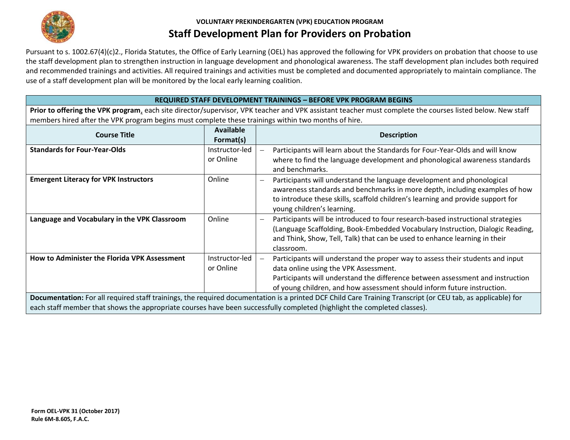

Pursuant to s. 1002.67(4)(c)2., Florida Statutes, the Office of Early Learning (OEL) has approved the following for VPK providers on probation that choose to use the staff development plan to strengthen instruction in language development and phonological awareness. The staff development plan includes both required and recommended trainings and activities. All required trainings and activities must be completed and documented appropriately to maintain compliance. The and recommended trainings and activities. All required trainings and activities must be<br>use of a staff development plan will be monitored by the local early learning coalition.

#### **REQUIRED STAFF DEVELOPMENT TRAININGS – BEFORE VPK PROGRAM BEGINS**

**Prior to offering the VPK program**, each site director/supervisor, VPK teacher and VPK assistant teacher must complete the courses listed below. New staff members hired after the VPK program begins must complete these trainings within two months of hire.

| <b>Course Title</b>                                                                                                                                                                                                                                                                     | <b>Available</b><br>Format(s) | <b>Description</b>                                                                                                                                                                                                                                                                                 |  |  |
|-----------------------------------------------------------------------------------------------------------------------------------------------------------------------------------------------------------------------------------------------------------------------------------------|-------------------------------|----------------------------------------------------------------------------------------------------------------------------------------------------------------------------------------------------------------------------------------------------------------------------------------------------|--|--|
| <b>Standards for Four-Year-Olds</b>                                                                                                                                                                                                                                                     | Instructor-led<br>or Online   | Participants will learn about the Standards for Four-Year-Olds and will know<br>where to find the language development and phonological awareness standards                                                                                                                                        |  |  |
|                                                                                                                                                                                                                                                                                         |                               | and benchmarks.                                                                                                                                                                                                                                                                                    |  |  |
| <b>Emergent Literacy for VPK Instructors</b>                                                                                                                                                                                                                                            | Online                        | Participants will understand the language development and phonological<br>$\overline{\phantom{0}}$<br>awareness standards and benchmarks in more depth, including examples of how<br>to introduce these skills, scaffold children's learning and provide support for<br>young children's learning. |  |  |
| Language and Vocabulary in the VPK Classroom                                                                                                                                                                                                                                            | Online                        | Participants will be introduced to four research-based instructional strategies<br>$\overline{\phantom{0}}$<br>(Language Scaffolding, Book-Embedded Vocabulary Instruction, Dialogic Reading,<br>and Think, Show, Tell, Talk) that can be used to enhance learning in their<br>classroom.          |  |  |
| <b>How to Administer the Florida VPK Assessment</b>                                                                                                                                                                                                                                     | Instructor-led<br>or Online   | Participants will understand the proper way to assess their students and input<br>data online using the VPK Assessment.<br>Participants will understand the difference between assessment and instruction<br>of young children, and how assessment should inform future instruction.               |  |  |
| Documentation: For all required staff trainings, the required documentation is a printed DCF Child Care Training Transcript (or CEU tab, as applicable) for<br>each staff member that shows the appropriate courses have been successfully completed (highlight the completed classes). |                               |                                                                                                                                                                                                                                                                                                    |  |  |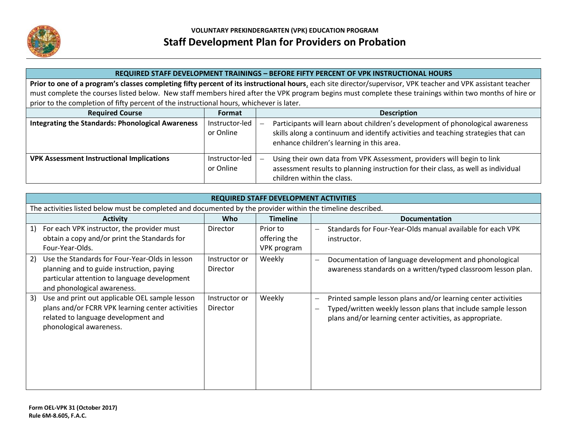

#### **REQUIRED STAFF DEVELOPMENT TRAININGS – BEFORE FIFTY PERCENT OF VPK INSTRUCTIONAL HOURS**

**Prior to one of a program's classes completing fifty percent of its instructional hours**, each site director/supervisor, VPK teacher and VPK assistant teacher must complete the courses listed below. New staff members hired after the VPK program begins must complete these trainings within two months of hire or prior to the completion of fifty percent of the instructional hours, whichever is later.

| <b>Required Course</b>                                   | <b>Format</b>               | <b>Description</b>                                                                                                                                                                                               |
|----------------------------------------------------------|-----------------------------|------------------------------------------------------------------------------------------------------------------------------------------------------------------------------------------------------------------|
| <b>Integrating the Standards: Phonological Awareness</b> | Instructor-led<br>or Online | Participants will learn about children's development of phonological awareness<br>skills along a continuum and identify activities and teaching strategies that can<br>enhance children's learning in this area. |
| <b>VPK Assessment Instructional Implications</b>         | Instructor-led<br>or Online | Using their own data from VPK Assessment, providers will begin to link<br>assessment results to planning instruction for their class, as well as individual<br>children within the class.                        |

|    | <b>REQUIRED STAFF DEVELOPMENT ACTIVITIES</b>                                                                                                                               |                                  |                                         |                                                                                                                                                                                           |  |
|----|----------------------------------------------------------------------------------------------------------------------------------------------------------------------------|----------------------------------|-----------------------------------------|-------------------------------------------------------------------------------------------------------------------------------------------------------------------------------------------|--|
|    | The activities listed below must be completed and documented by the provider within the timeline described.                                                                |                                  |                                         |                                                                                                                                                                                           |  |
|    | <b>Activity</b>                                                                                                                                                            | Who                              | <b>Timeline</b>                         | <b>Documentation</b>                                                                                                                                                                      |  |
| 1) | For each VPK instructor, the provider must<br>obtain a copy and/or print the Standards for<br>Four-Year-Olds.                                                              | <b>Director</b>                  | Prior to<br>offering the<br>VPK program | Standards for Four-Year-Olds manual available for each VPK<br>instructor.                                                                                                                 |  |
| 2) | Use the Standards for Four-Year-Olds in lesson<br>planning and to guide instruction, paying<br>particular attention to language development<br>and phonological awareness. | Instructor or<br><b>Director</b> | <b>Weekly</b>                           | Documentation of language development and phonological<br>awareness standards on a written/typed classroom lesson plan.                                                                   |  |
| 3) | Use and print out applicable OEL sample lesson<br>plans and/or FCRR VPK learning center activities<br>related to language development and<br>phonological awareness.       | Instructor or<br>Director        | Weekly                                  | Printed sample lesson plans and/or learning center activities<br>Typed/written weekly lesson plans that include sample lesson<br>plans and/or learning center activities, as appropriate. |  |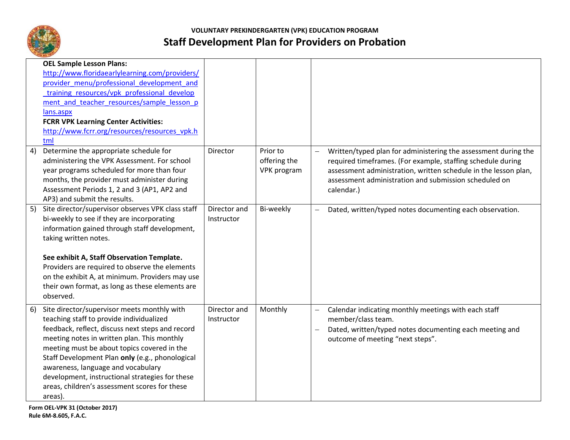

|    | <b>OEL Sample Lesson Plans:</b>                                                                                                                                                                                                                                                                                                                                                                                                                   |                            |                                         |                                                      |                                                                                                                                                                                                                                                                         |
|----|---------------------------------------------------------------------------------------------------------------------------------------------------------------------------------------------------------------------------------------------------------------------------------------------------------------------------------------------------------------------------------------------------------------------------------------------------|----------------------------|-----------------------------------------|------------------------------------------------------|-------------------------------------------------------------------------------------------------------------------------------------------------------------------------------------------------------------------------------------------------------------------------|
|    | http://www.floridaearlylearning.com/providers/                                                                                                                                                                                                                                                                                                                                                                                                    |                            |                                         |                                                      |                                                                                                                                                                                                                                                                         |
|    | provider menu/professional development and                                                                                                                                                                                                                                                                                                                                                                                                        |                            |                                         |                                                      |                                                                                                                                                                                                                                                                         |
|    | training resources/vpk professional develop                                                                                                                                                                                                                                                                                                                                                                                                       |                            |                                         |                                                      |                                                                                                                                                                                                                                                                         |
|    | ment and teacher resources/sample lesson p                                                                                                                                                                                                                                                                                                                                                                                                        |                            |                                         |                                                      |                                                                                                                                                                                                                                                                         |
|    | lans.aspx                                                                                                                                                                                                                                                                                                                                                                                                                                         |                            |                                         |                                                      |                                                                                                                                                                                                                                                                         |
|    | <b>FCRR VPK Learning Center Activities:</b>                                                                                                                                                                                                                                                                                                                                                                                                       |                            |                                         |                                                      |                                                                                                                                                                                                                                                                         |
|    | http://www.fcrr.org/resources/resources_vpk.h                                                                                                                                                                                                                                                                                                                                                                                                     |                            |                                         |                                                      |                                                                                                                                                                                                                                                                         |
|    | tml                                                                                                                                                                                                                                                                                                                                                                                                                                               |                            |                                         |                                                      |                                                                                                                                                                                                                                                                         |
| 4) | Determine the appropriate schedule for<br>administering the VPK Assessment. For school<br>year programs scheduled for more than four<br>months, the provider must administer during<br>Assessment Periods 1, 2 and 3 (AP1, AP2 and<br>AP3) and submit the results.                                                                                                                                                                                | Director                   | Prior to<br>offering the<br>VPK program | $\overline{\phantom{0}}$                             | Written/typed plan for administering the assessment during the<br>required timeframes. (For example, staffing schedule during<br>assessment administration, written schedule in the lesson plan,<br>assessment administration and submission scheduled on<br>calendar.) |
|    | Site director/supervisor observes VPK class staff<br>bi-weekly to see if they are incorporating<br>information gained through staff development,<br>taking written notes.<br>See exhibit A, Staff Observation Template.<br>Providers are required to observe the elements<br>on the exhibit A, at minimum. Providers may use<br>their own format, as long as these elements are<br>observed.                                                      | Director and<br>Instructor | Bi-weekly                               |                                                      | Dated, written/typed notes documenting each observation.                                                                                                                                                                                                                |
| 6) | Site director/supervisor meets monthly with<br>teaching staff to provide individualized<br>feedback, reflect, discuss next steps and record<br>meeting notes in written plan. This monthly<br>meeting must be about topics covered in the<br>Staff Development Plan only (e.g., phonological<br>awareness, language and vocabulary<br>development, instructional strategies for these<br>areas, children's assessment scores for these<br>areas). | Director and<br>Instructor | Monthly                                 | $\overline{\phantom{0}}$<br>$\overline{\phantom{0}}$ | Calendar indicating monthly meetings with each staff<br>member/class team.<br>Dated, written/typed notes documenting each meeting and<br>outcome of meeting "next steps".                                                                                               |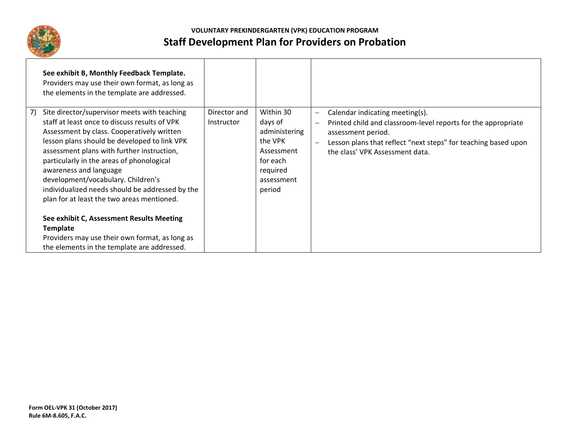

|    | See exhibit B, Monthly Feedback Template.<br>Providers may use their own format, as long as<br>the elements in the template are addressed.                                                                                                                                                                                                                                                                                                                                                                                                                                |                            |                                                                                                                |                                                                                                                                                                                                                                                         |
|----|---------------------------------------------------------------------------------------------------------------------------------------------------------------------------------------------------------------------------------------------------------------------------------------------------------------------------------------------------------------------------------------------------------------------------------------------------------------------------------------------------------------------------------------------------------------------------|----------------------------|----------------------------------------------------------------------------------------------------------------|---------------------------------------------------------------------------------------------------------------------------------------------------------------------------------------------------------------------------------------------------------|
| 7) | Site director/supervisor meets with teaching<br>staff at least once to discuss results of VPK<br>Assessment by class. Cooperatively written<br>lesson plans should be developed to link VPK<br>assessment plans with further instruction,<br>particularly in the areas of phonological<br>awareness and language<br>development/vocabulary. Children's<br>individualized needs should be addressed by the<br>plan for at least the two areas mentioned.<br>See exhibit C, Assessment Results Meeting<br><b>Template</b><br>Providers may use their own format, as long as | Director and<br>Instructor | Within 30<br>days of<br>administering<br>the VPK<br>Assessment<br>for each<br>required<br>assessment<br>period | Calendar indicating meeting(s).<br>$\overline{\phantom{m}}$<br>Printed child and classroom-level reports for the appropriate<br>assessment period.<br>Lesson plans that reflect "next steps" for teaching based upon<br>the class' VPK Assessment data. |
|    | the elements in the template are addressed.                                                                                                                                                                                                                                                                                                                                                                                                                                                                                                                               |                            |                                                                                                                |                                                                                                                                                                                                                                                         |